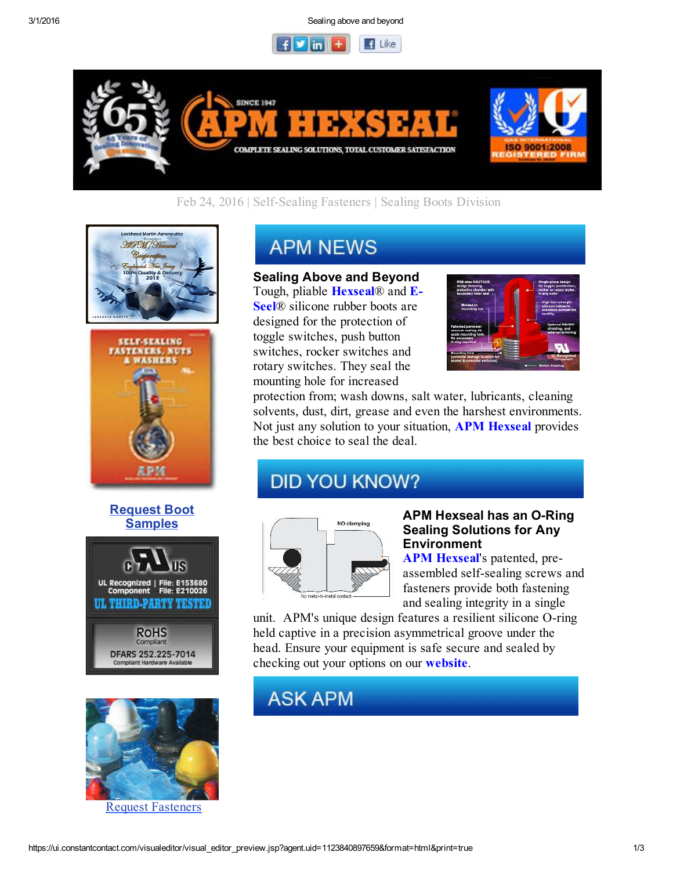3/1/2016 Sealing above and beyond





Feb 24, 2016 | Self-Sealing Fasteners | Sealing Boots Division





### Request Boot **Samples**





Request Fasteners

# **APM NEWS**

#### Sealing Above and Beyond

Tough, pliable **Hexseal**® and **E**-Seel® silicone rubber boots are designed for the protection of toggle switches, push button switches, rocker switches and rotary switches. They seal the mounting hole for increased



protection from; wash downs, salt water, lubricants, cleaning solvents, dust, dirt, grease and even the harshest environments. Not just any solution to your situation, **APM Hexseal** provides the best choice to seal the deal.

## **DID YOU KNOW?**



#### APM Hexseal has an O-Ring Sealing Solutions for Any Environment

APM Hexseal's patented, preassembled self-sealing screws and fasteners provide both fastening and sealing integrity in a single

unit. APM's unique design features a resilient silicone O-ring held captive in a precision asymmetrical groove under the head. Ensure your equipment is safe secure and sealed by checking out your options on our website.

## **ASK APM**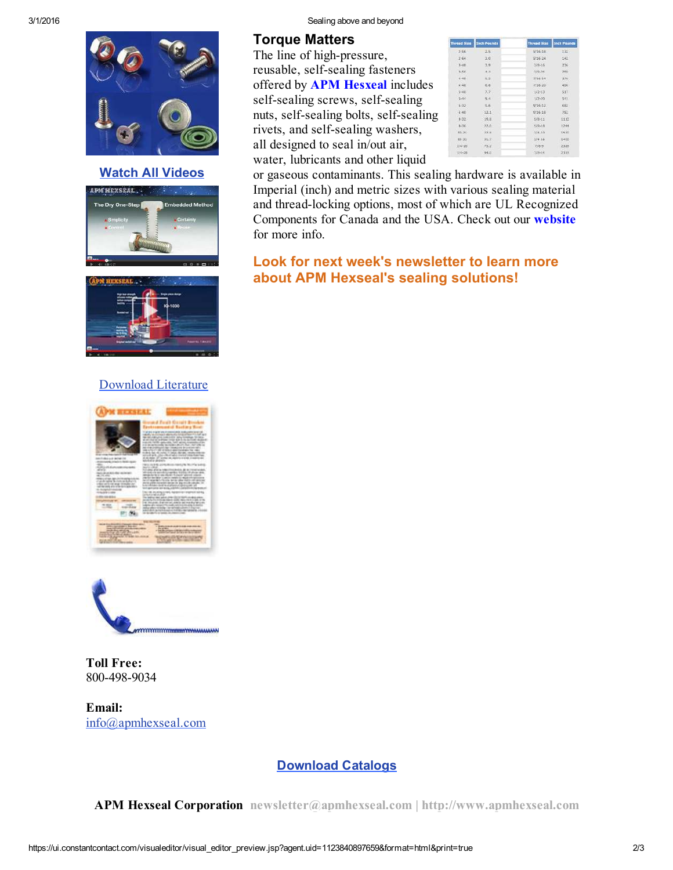

Watch All Videos





## Download Literature





Toll Free: 800-498-9034

Email: info@apmhexseal.com

#### 3/1/2016 Sealing above and beyond

#### Torque Matters

The line of high-pressure, reusable, self-sealing fasteners offered by APM Hesxeal includes self-sealing screws, self-sealing nuts, self-sealing bolts, self-sealing rivets, and self-sealing washers, all designed to seal in/out air, water, lubricants and other liquid

| <b>Thread Size</b> | <b>Inch Pounds</b> | <b>Thread Size</b> | <b>Inch Pounds</b> |
|--------------------|--------------------|--------------------|--------------------|
| $2 - 56$           | 2.5                | $5/16 - 18$        | $132 -$            |
| 2.64               | 3.0                | 5/16/24            | 142                |
| $3-48$             | 3.9                | 1/3.15             | 235                |
| 3-56               | 4.7                | 3/8-24             | 259                |
| $4 - 40$           | 5.2                | $7736 - 34$        | 326                |
| 448                | 6.6                | 7/16 20            | 400                |
| $7 - 40$           | 7.7                | $1/2 - 13$         | 917                |
| Sed of             | 9.4                | $177 - 20$         | 641                |
| 6-32-              | 9.8                | $9/26 - 12$        | 683                |
| 6140               | 12.1               | 9/16/18            | 752                |
| $8 - 32$           | 19.8               | $5/8 - 11$         | 1110               |
| $3-36$             | 22.0               | 529-18             | 1244               |
| $10 - 24$          | 22.11              | 3/4-10             | 1530               |
| $-13.32$           | 31.7               | 3/4.16             | 1490               |
| $1/4 - 26$         | 79.2               | $7/8 - 3$          | 2325               |
| $1/3 - 20$         | 94.0               | $7/3 - 14$         | 3318               |

or gaseous contaminants. This sealing hardware is available in Imperial (inch) and metric sizes with various sealing material and thread-locking options, most of which are UL Recognized Components for Canada and the USA. Check out our website for more info.

## Look for next week's newsletter to learn more about APM Hexseal's sealing solutions!

## Download Catalogs

APM Hexseal Corporation newsletter@apmhexseal.com | http://www.apmhexseal.com